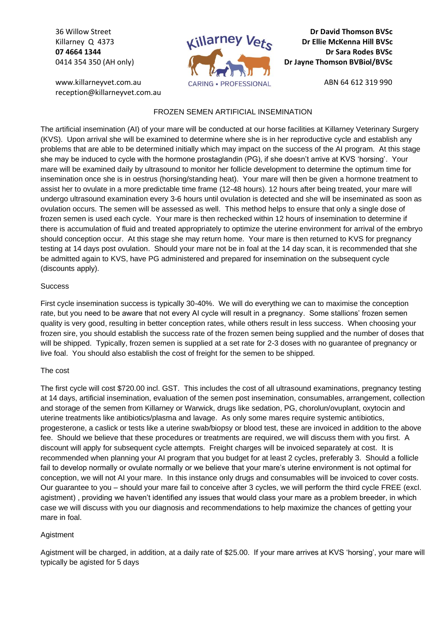36 Willow Street Killarney Q 4373 **07 4664 1344** 0414 354 350 (AH only)

www.killarneyvet.com.au reception@killarneyvet.com.au



**Dr David Thomson BVSc Dr Ellie McKenna Hill BVSc Dr Sara Rodes BVSc Dr Jayne Thomson BVBiol/BVSc**

ABN 64 612 319 990

## FROZEN SEMEN ARTIFICIAL INSEMINATION

The artificial insemination (AI) of your mare will be conducted at our horse facilities at Killarney Veterinary Surgery (KVS). Upon arrival she will be examined to determine where she is in her reproductive cycle and establish any problems that are able to be determined initially which may impact on the success of the AI program. At this stage she may be induced to cycle with the hormone prostaglandin (PG), if she doesn't arrive at KVS 'horsing'. Your mare will be examined daily by ultrasound to monitor her follicle development to determine the optimum time for insemination once she is in oestrus (horsing/standing heat). Your mare will then be given a hormone treatment to assist her to ovulate in a more predictable time frame (12-48 hours). 12 hours after being treated, your mare will undergo ultrasound examination every 3-6 hours until ovulation is detected and she will be inseminated as soon as ovulation occurs. The semen will be assessed as well. This method helps to ensure that only a single dose of frozen semen is used each cycle. Your mare is then rechecked within 12 hours of insemination to determine if there is accumulation of fluid and treated appropriately to optimize the uterine environment for arrival of the embryo should conception occur. At this stage she may return home. Your mare is then returned to KVS for pregnancy testing at 14 days post ovulation. Should your mare not be in foal at the 14 day scan, it is recommended that she be admitted again to KVS, have PG administered and prepared for insemination on the subsequent cycle (discounts apply).

## **Success**

First cycle insemination success is typically 30-40%. We will do everything we can to maximise the conception rate, but you need to be aware that not every AI cycle will result in a pregnancy. Some stallions' frozen semen quality is very good, resulting in better conception rates, while others result in less success. When choosing your frozen sire, you should establish the success rate of the frozen semen being supplied and the number of doses that will be shipped. Typically, frozen semen is supplied at a set rate for 2-3 doses with no guarantee of pregnancy or live foal. You should also establish the cost of freight for the semen to be shipped.

## The cost

The first cycle will cost \$720.00 incl. GST. This includes the cost of all ultrasound examinations, pregnancy testing at 14 days, artificial insemination, evaluation of the semen post insemination, consumables, arrangement, collection and storage of the semen from Killarney or Warwick, drugs like sedation, PG, chorolun/ovuplant, oxytocin and uterine treatments like antibiotics/plasma and lavage. As only some mares require systemic antibiotics, progesterone, a caslick or tests like a uterine swab/biopsy or blood test, these are invoiced in addition to the above fee. Should we believe that these procedures or treatments are required, we will discuss them with you first. A discount will apply for subsequent cycle attempts. Freight charges will be invoiced separately at cost. It is recommended when planning your AI program that you budget for at least 2 cycles, preferably 3. Should a follicle fail to develop normally or ovulate normally or we believe that your mare's uterine environment is not optimal for conception, we will not AI your mare. In this instance only drugs and consumables will be invoiced to cover costs. Our guarantee to you – should your mare fail to conceive after 3 cycles, we will perform the third cycle FREE (excl. agistment) , providing we haven't identified any issues that would class your mare as a problem breeder, in which case we will discuss with you our diagnosis and recommendations to help maximize the chances of getting your mare in foal.

## Agistment

Agistment will be charged, in addition, at a daily rate of \$25.00. If your mare arrives at KVS 'horsing', your mare will typically be agisted for 5 days